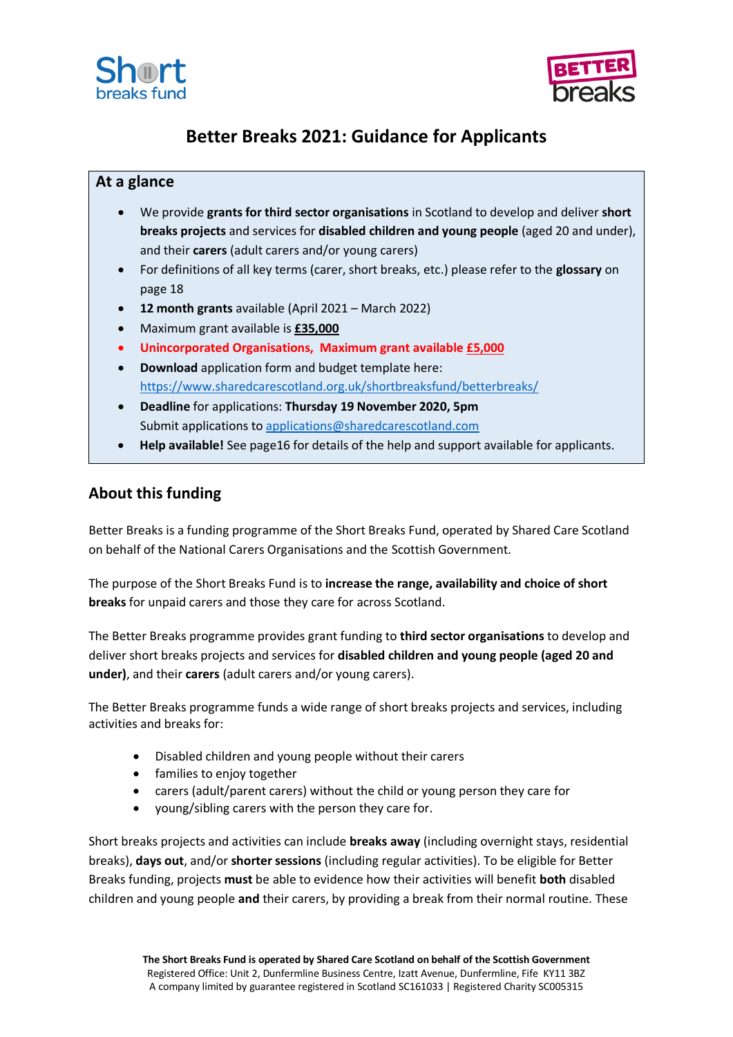



# **Better Breaks 2021: Guidance for Applicants**

# **At a glance**

- We provide **grants for third sector organisations** in Scotland to develop and deliver **short breaks projects** and services for **disabled children and young people** (aged 20 and under), and their **carers** (adult carers and/or young carers)
- For definitions of all key terms (carer, short breaks, etc.) please refer to the **glossary** on page 18
- **12 month grants** available (April 2021 March 2022)
- Maximum grant available is **£35,000**
- **Unincorporated Organisations, Maximum grant available £5,000**
- **Download** application form and budget template here: <https://www.sharedcarescotland.org.uk/shortbreaksfund/betterbreaks/>
- **Deadline** for applications: **Thursday 19 November 2020, 5pm** Submit applications to [applications@sharedcarescotland.com](mailto:applications@sharedcarescotland.com)
- **Help available!** See page16 for details of the help and support available for applicants.

# **About this funding**

Better Breaks is a funding programme of the Short Breaks Fund, operated by Shared Care Scotland on behalf of the National Carers Organisations and the Scottish Government.

The purpose of the Short Breaks Fund is to **increase the range, availability and choice of short breaks** for unpaid carers and those they care for across Scotland.

The Better Breaks programme provides grant funding to **third sector organisations** to develop and deliver short breaks projects and services for **disabled children and young people (aged 20 and under)**, and their **carers** (adult carers and/or young carers).

The Better Breaks programme funds a wide range of short breaks projects and services, including activities and breaks for:

- Disabled children and young people without their carers
- families to enjoy together
- carers (adult/parent carers) without the child or young person they care for
- young/sibling carers with the person they care for.

Short breaks projects and activities can include **breaks away** (including overnight stays, residential breaks), **days out**, and/or **shorter sessions** (including regular activities). To be eligible for Better Breaks funding, projects **must** be able to evidence how their activities will benefit **both** disabled children and young people **and** their carers, by providing a break from their normal routine. These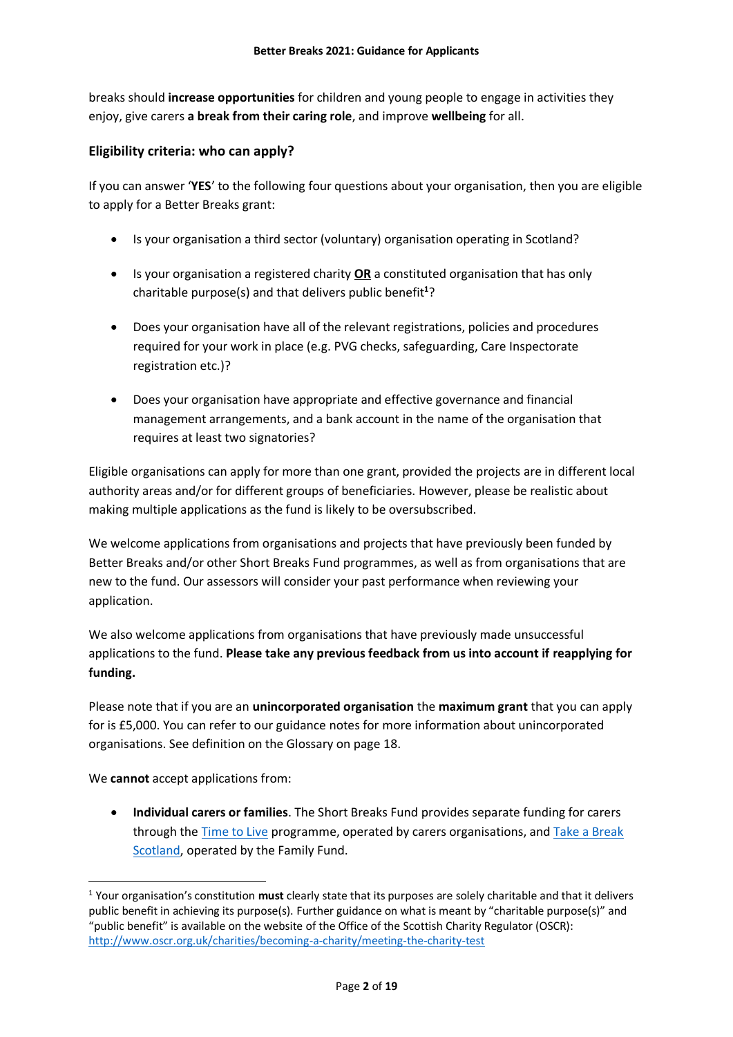breaks should **increase opportunities** for children and young people to engage in activities they enjoy, give carers **a break from their caring role**, and improve **wellbeing** for all.

# **Eligibility criteria: who can apply?**

If you can answer '**YES**' to the following four questions about your organisation, then you are eligible to apply for a Better Breaks grant:

- Is your organisation a third sector (voluntary) organisation operating in Scotland?
- Is your organisation a registered charity **OR** a constituted organisation that has only charitable purpose(s) and that delivers public benefit**<sup>1</sup>** ?
- Does your organisation have all of the relevant registrations, policies and procedures required for your work in place (e.g. PVG checks, safeguarding, Care Inspectorate registration etc.)?
- Does your organisation have appropriate and effective governance and financial management arrangements, and a bank account in the name of the organisation that requires at least two signatories?

Eligible organisations can apply for more than one grant, provided the projects are in different local authority areas and/or for different groups of beneficiaries. However, please be realistic about making multiple applications as the fund is likely to be oversubscribed.

We welcome applications from organisations and projects that have previously been funded by Better Breaks and/or other Short Breaks Fund programmes, as well as from organisations that are new to the fund. Our assessors will consider your past performance when reviewing your application.

We also welcome applications from organisations that have previously made unsuccessful applications to the fund. **Please take any previous feedback from us into account if reapplying for funding.** 

Please note that if you are an **unincorporated organisation** the **maximum grant** that you can apply for is £5,000. You can refer to our guidance notes for more information about unincorporated organisations. See definition on the Glossary on page 18.

We **cannot** accept applications from:

-

 **Individual carers or families**. The Short Breaks Fund provides separate funding for carers through the [Time to Live](https://www.sharedcarescotland.org.uk/shortbreaksfund/timetolive/) programme, operated by carers organisations, an[d Take a Break](https://takeabreakscotland.org.uk/)  [Scotland,](https://takeabreakscotland.org.uk/) operated by the Family Fund.

<sup>1</sup> Your organisation's constitution **must** clearly state that its purposes are solely charitable and that it delivers public benefit in achieving its purpose(s). Further guidance on what is meant by "charitable purpose(s)" and "public benefit" is available on the website of the Office of the Scottish Charity Regulator (OSCR): <http://www.oscr.org.uk/charities/becoming-a-charity/meeting-the-charity-test>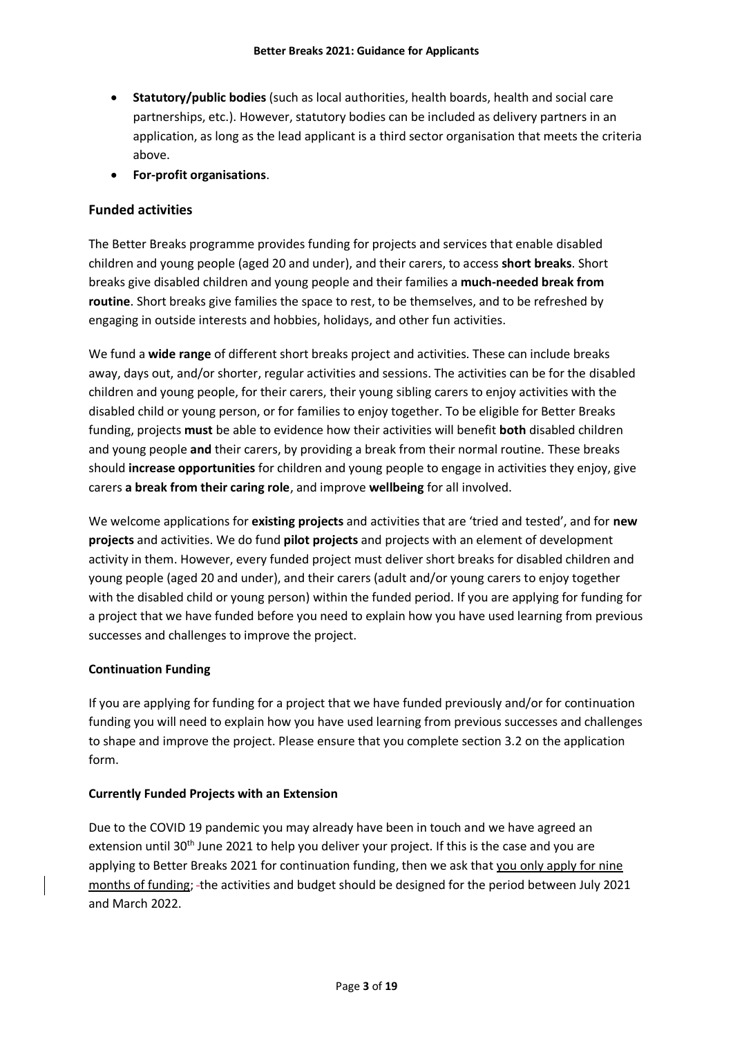- **Statutory/public bodies** (such as local authorities, health boards, health and social care partnerships, etc.). However, statutory bodies can be included as delivery partners in an application, as long as the lead applicant is a third sector organisation that meets the criteria above.
- **For-profit organisations**.

# **Funded activities**

The Better Breaks programme provides funding for projects and services that enable disabled children and young people (aged 20 and under), and their carers, to access **short breaks**. Short breaks give disabled children and young people and their families a **much-needed break from routine**. Short breaks give families the space to rest, to be themselves, and to be refreshed by engaging in outside interests and hobbies, holidays, and other fun activities.

We fund a **wide range** of different short breaks project and activities. These can include breaks away, days out, and/or shorter, regular activities and sessions. The activities can be for the disabled children and young people, for their carers, their young sibling carers to enjoy activities with the disabled child or young person, or for families to enjoy together. To be eligible for Better Breaks funding, projects **must** be able to evidence how their activities will benefit **both** disabled children and young people **and** their carers, by providing a break from their normal routine. These breaks should **increase opportunities** for children and young people to engage in activities they enjoy, give carers **a break from their caring role**, and improve **wellbeing** for all involved.

We welcome applications for **existing projects** and activities that are 'tried and tested', and for **new projects** and activities. We do fund **pilot projects** and projects with an element of development activity in them. However, every funded project must deliver short breaks for disabled children and young people (aged 20 and under), and their carers (adult and/or young carers to enjoy together with the disabled child or young person) within the funded period. If you are applying for funding for a project that we have funded before you need to explain how you have used learning from previous successes and challenges to improve the project.

#### **Continuation Funding**

If you are applying for funding for a project that we have funded previously and/or for continuation funding you will need to explain how you have used learning from previous successes and challenges to shape and improve the project. Please ensure that you complete section 3.2 on the application form.

#### **Currently Funded Projects with an Extension**

Due to the COVID 19 pandemic you may already have been in touch and we have agreed an extension until 30<sup>th</sup> June 2021 to help you deliver your project. If this is the case and you are applying to Better Breaks 2021 for continuation funding, then we ask that you only apply for nine months of funding; the activities and budget should be designed for the period between July 2021 and March 2022.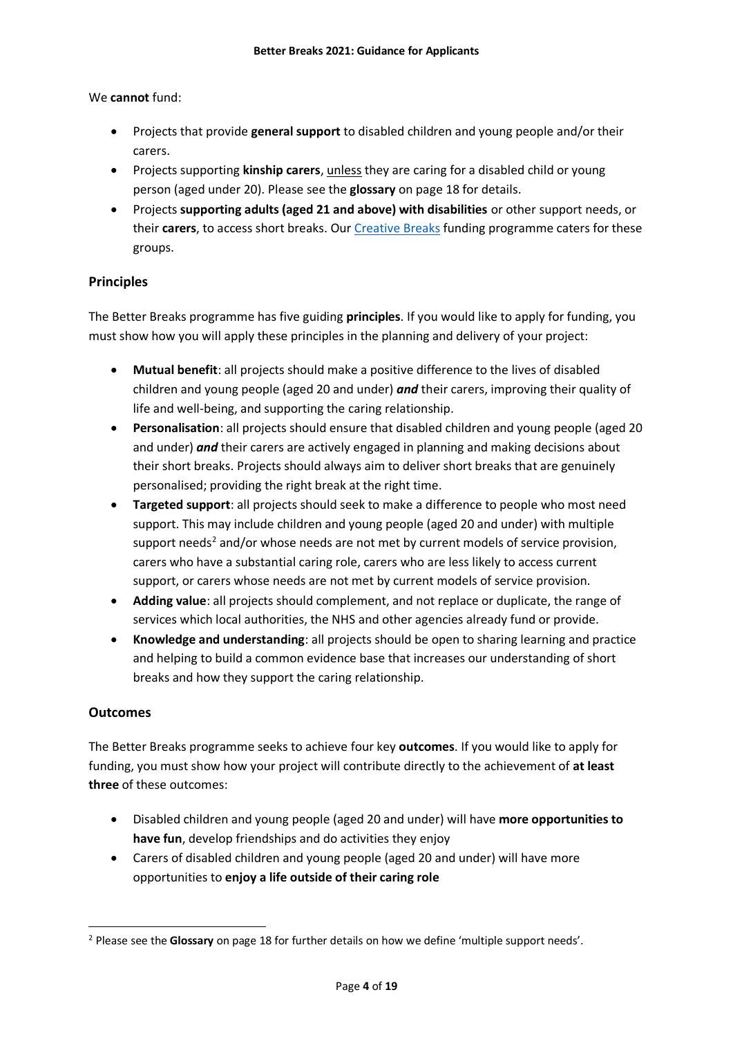# We **cannot** fund:

- Projects that provide **general support** to disabled children and young people and/or their carers.
- Projects supporting **kinship carers**, unless they are caring for a disabled child or young person (aged under 20). Please see the **glossary** on page 18 for details.
- Projects **supporting adults (aged 21 and above) with disabilities** or other support needs, or their **carers**, to access short breaks. Our [Creative Breaks](https://www.sharedcarescotland.org.uk/shortbreaksfund/creativebreaks/) funding programme caters for these groups.

# **Principles**

The Better Breaks programme has five guiding **principles**. If you would like to apply for funding, you must show how you will apply these principles in the planning and delivery of your project:

- **Mutual benefit**: all projects should make a positive difference to the lives of disabled children and young people (aged 20 and under) *and* their carers, improving their quality of life and well-being, and supporting the caring relationship.
- **Personalisation**: all projects should ensure that disabled children and young people (aged 20 and under) *and* their carers are actively engaged in planning and making decisions about their short breaks. Projects should always aim to deliver short breaks that are genuinely personalised; providing the right break at the right time.
- **Targeted support**: all projects should seek to make a difference to people who most need support. This may include children and young people (aged 20 and under) with multiple support needs<sup>2</sup> and/or whose needs are not met by current models of service provision, carers who have a substantial caring role, carers who are less likely to access current support, or carers whose needs are not met by current models of service provision.
- **Adding value**: all projects should complement, and not replace or duplicate, the range of services which local authorities, the NHS and other agencies already fund or provide.
- **Knowledge and understanding**: all projects should be open to sharing learning and practice and helping to build a common evidence base that increases our understanding of short breaks and how they support the caring relationship.

# **Outcomes**

The Better Breaks programme seeks to achieve four key **outcomes**. If you would like to apply for funding, you must show how your project will contribute directly to the achievement of **at least three** of these outcomes:

- Disabled children and young people (aged 20 and under) will have **more opportunities to have fun**, develop friendships and do activities they enjoy
- Carers of disabled children and young people (aged 20 and under) will have more opportunities to **enjoy a life outside of their caring role**

**<sup>.</sup>** <sup>2</sup> Please see the **Glossary** on page 18 for further details on how we define 'multiple support needs'.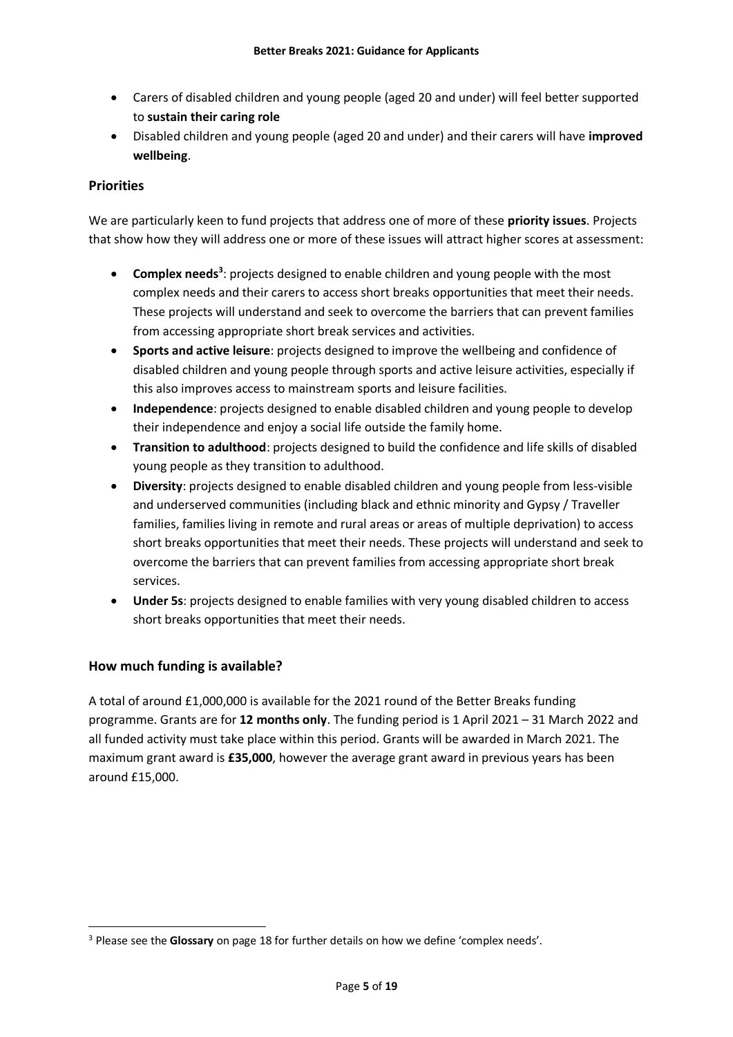- Carers of disabled children and young people (aged 20 and under) will feel better supported to **sustain their caring role**
- Disabled children and young people (aged 20 and under) and their carers will have **improved wellbeing**.

# **Priorities**

We are particularly keen to fund projects that address one of more of these **priority issues**. Projects that show how they will address one or more of these issues will attract higher scores at assessment:

- **Complex needs<sup>3</sup>:** projects designed to enable children and young people with the most complex needs and their carers to access short breaks opportunities that meet their needs. These projects will understand and seek to overcome the barriers that can prevent families from accessing appropriate short break services and activities.
- **Sports and active leisure**: projects designed to improve the wellbeing and confidence of disabled children and young people through sports and active leisure activities, especially if this also improves access to mainstream sports and leisure facilities.
- **Independence**: projects designed to enable disabled children and young people to develop their independence and enjoy a social life outside the family home.
- **Transition to adulthood**: projects designed to build the confidence and life skills of disabled young people as they transition to adulthood.
- **Diversity**: projects designed to enable disabled children and young people from less-visible and underserved communities (including black and ethnic minority and Gypsy / Traveller families, families living in remote and rural areas or areas of multiple deprivation) to access short breaks opportunities that meet their needs. These projects will understand and seek to overcome the barriers that can prevent families from accessing appropriate short break services.
- **Under 5s**: projects designed to enable families with very young disabled children to access short breaks opportunities that meet their needs.

# **How much funding is available?**

A total of around £1,000,000 is available for the 2021 round of the Better Breaks funding programme. Grants are for **12 months only**. The funding period is 1 April 2021 – 31 March 2022 and all funded activity must take place within this period. Grants will be awarded in March 2021. The maximum grant award is **£35,000**, however the average grant award in previous years has been around £15,000.

**<sup>.</sup>** <sup>3</sup> Please see the **Glossary** on page 18 for further details on how we define 'complex needs'.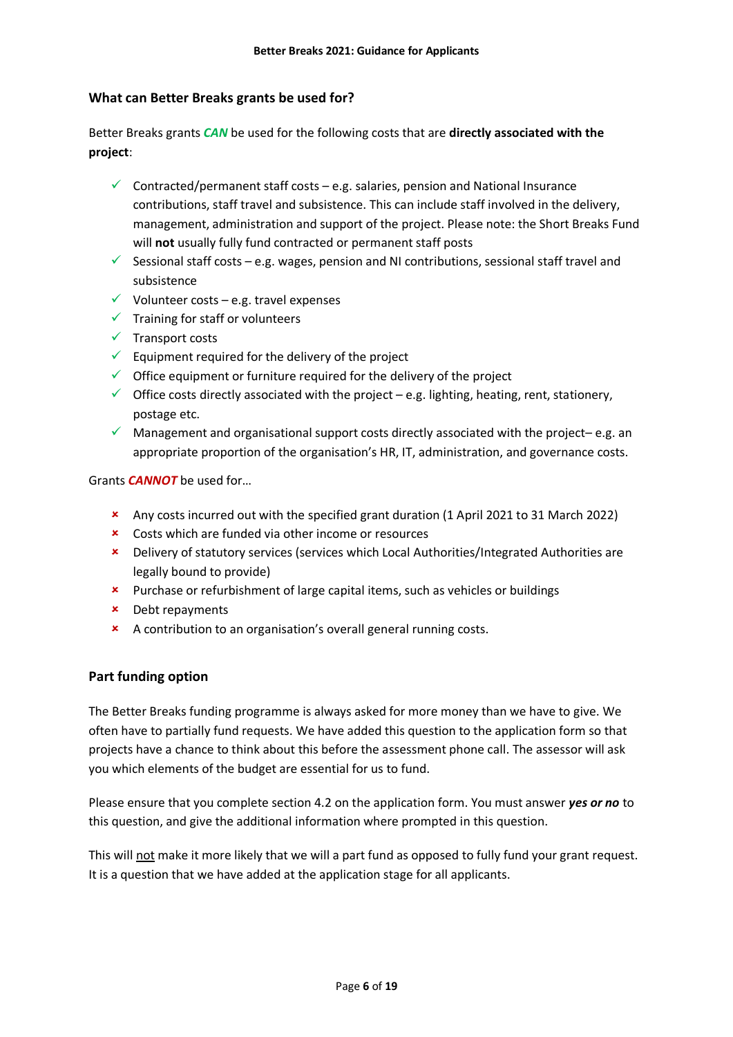# **What can Better Breaks grants be used for?**

Better Breaks grants *CAN* be used for the following costs that are **directly associated with the project**:

- $\checkmark$  Contracted/permanent staff costs e.g. salaries, pension and National Insurance contributions, staff travel and subsistence. This can include staff involved in the delivery, management, administration and support of the project. Please note: the Short Breaks Fund will **not** usually fully fund contracted or permanent staff posts
- Sessional staff costs e.g. wages, pension and NI contributions, sessional staff travel and subsistence
- $\checkmark$  Volunteer costs e.g. travel expenses
- $\checkmark$  Training for staff or volunteers
- $\checkmark$  Transport costs
- $\checkmark$  Equipment required for the delivery of the project
- $\checkmark$  Office equipment or furniture required for the delivery of the project
- $\checkmark$  Office costs directly associated with the project e.g. lighting, heating, rent, stationery, postage etc.
- $\checkmark$  Management and organisational support costs directly associated with the project– e.g. an appropriate proportion of the organisation's HR, IT, administration, and governance costs.

Grants *CANNOT* be used for…

- Any costs incurred out with the specified grant duration (1 April 2021 to 31 March 2022)
- **\*** Costs which are funded via other income or resources
- Delivery of statutory services (services which Local Authorities/Integrated Authorities are legally bound to provide)
- **\*** Purchase or refurbishment of large capital items, such as vehicles or buildings
- Debt repayments
- A contribution to an organisation's overall general running costs.

# **Part funding option**

The Better Breaks funding programme is always asked for more money than we have to give. We often have to partially fund requests. We have added this question to the application form so that projects have a chance to think about this before the assessment phone call. The assessor will ask you which elements of the budget are essential for us to fund.

Please ensure that you complete section 4.2 on the application form. You must answer *yes or no* to this question, and give the additional information where prompted in this question.

This will not make it more likely that we will a part fund as opposed to fully fund your grant request. It is a question that we have added at the application stage for all applicants.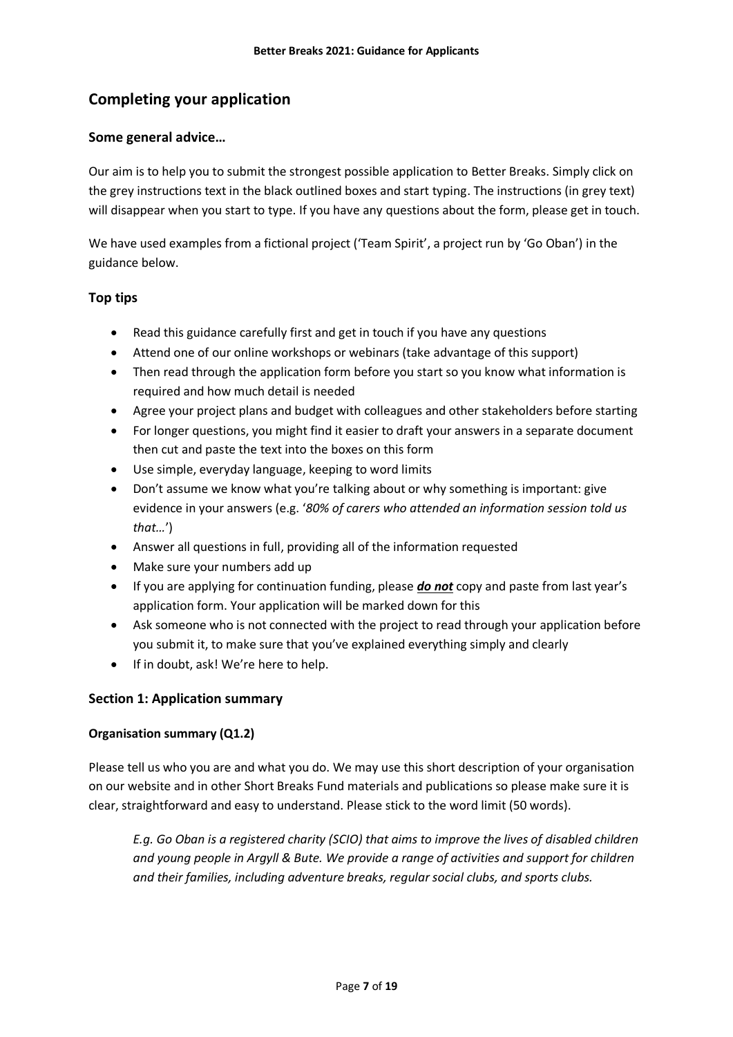# **Completing your application**

# **Some general advice…**

Our aim is to help you to submit the strongest possible application to Better Breaks. Simply click on the grey instructions text in the black outlined boxes and start typing. The instructions (in grey text) will disappear when you start to type. If you have any questions about the form, please get in touch.

We have used examples from a fictional project ('Team Spirit', a project run by 'Go Oban') in the guidance below.

# **Top tips**

- Read this guidance carefully first and get in touch if you have any questions
- Attend one of our online workshops or webinars (take advantage of this support)
- Then read through the application form before you start so you know what information is required and how much detail is needed
- Agree your project plans and budget with colleagues and other stakeholders before starting
- For longer questions, you might find it easier to draft your answers in a separate document then cut and paste the text into the boxes on this form
- Use simple, everyday language, keeping to word limits
- Don't assume we know what you're talking about or why something is important: give evidence in your answers (e.g. '*80% of carers who attended an information session told us that…*')
- Answer all questions in full, providing all of the information requested
- Make sure your numbers add up
- If you are applying for continuation funding, please *do not* copy and paste from last year's application form. Your application will be marked down for this
- Ask someone who is not connected with the project to read through your application before you submit it, to make sure that you've explained everything simply and clearly
- If in doubt, ask! We're here to help.

#### **Section 1: Application summary**

#### **Organisation summary (Q1.2)**

Please tell us who you are and what you do. We may use this short description of your organisation on our website and in other Short Breaks Fund materials and publications so please make sure it is clear, straightforward and easy to understand. Please stick to the word limit (50 words).

*E.g. Go Oban is a registered charity (SCIO) that aims to improve the lives of disabled children and young people in Argyll & Bute. We provide a range of activities and support for children and their families, including adventure breaks, regular social clubs, and sports clubs.*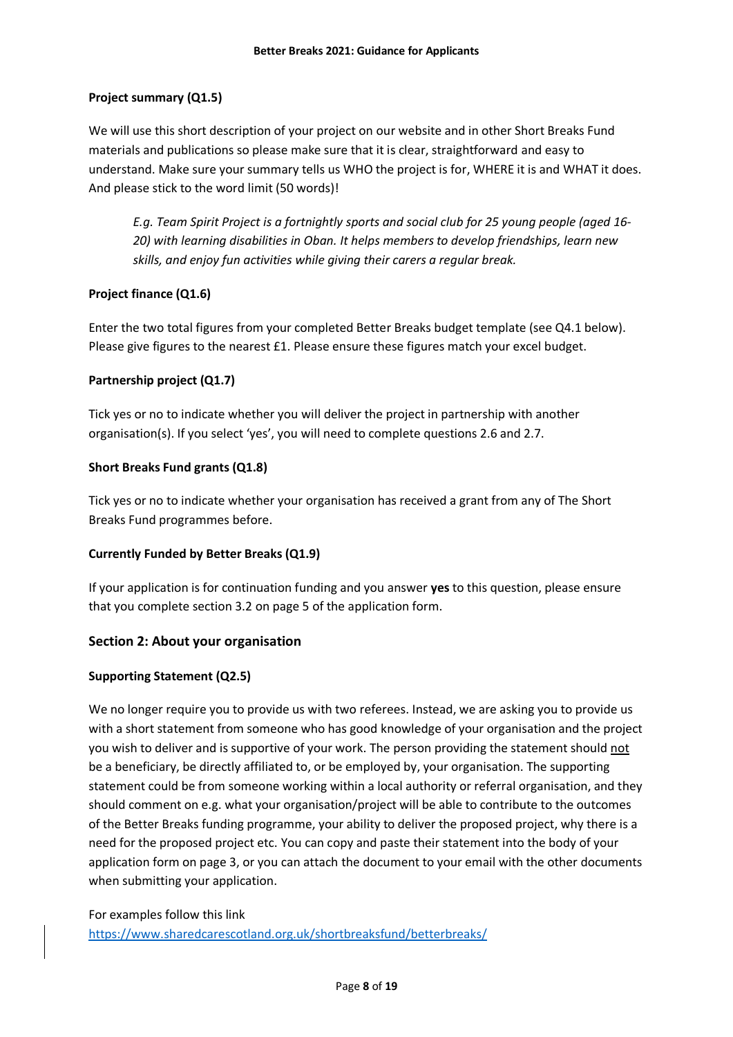# **Project summary (Q1.5)**

We will use this short description of your project on our website and in other Short Breaks Fund materials and publications so please make sure that it is clear, straightforward and easy to understand. Make sure your summary tells us WHO the project is for, WHERE it is and WHAT it does. And please stick to the word limit (50 words)!

*E.g. Team Spirit Project is a fortnightly sports and social club for 25 young people (aged 16- 20) with learning disabilities in Oban. It helps members to develop friendships, learn new skills, and enjoy fun activities while giving their carers a regular break.*

# **Project finance (Q1.6)**

Enter the two total figures from your completed Better Breaks budget template (see Q4.1 below). Please give figures to the nearest £1. Please ensure these figures match your excel budget.

# **Partnership project (Q1.7)**

Tick yes or no to indicate whether you will deliver the project in partnership with another organisation(s). If you select 'yes', you will need to complete questions 2.6 and 2.7.

# **Short Breaks Fund grants (Q1.8)**

Tick yes or no to indicate whether your organisation has received a grant from any of The Short Breaks Fund programmes before.

#### **Currently Funded by Better Breaks (Q1.9)**

If your application is for continuation funding and you answer **yes** to this question, please ensure that you complete section 3.2 on page 5 of the application form.

# **Section 2: About your organisation**

#### **Supporting Statement (Q2.5)**

We no longer require you to provide us with two referees. Instead, we are asking you to provide us with a short statement from someone who has good knowledge of your organisation and the project you wish to deliver and is supportive of your work. The person providing the statement should not be a beneficiary, be directly affiliated to, or be employed by, your organisation. The supporting statement could be from someone working within a local authority or referral organisation, and they should comment on e.g. what your organisation/project will be able to contribute to the outcomes of the Better Breaks funding programme, your ability to deliver the proposed project, why there is a need for the proposed project etc. You can copy and paste their statement into the body of your application form on page 3, or you can attach the document to your email with the other documents when submitting your application.

For examples follow this link <https://www.sharedcarescotland.org.uk/shortbreaksfund/betterbreaks/>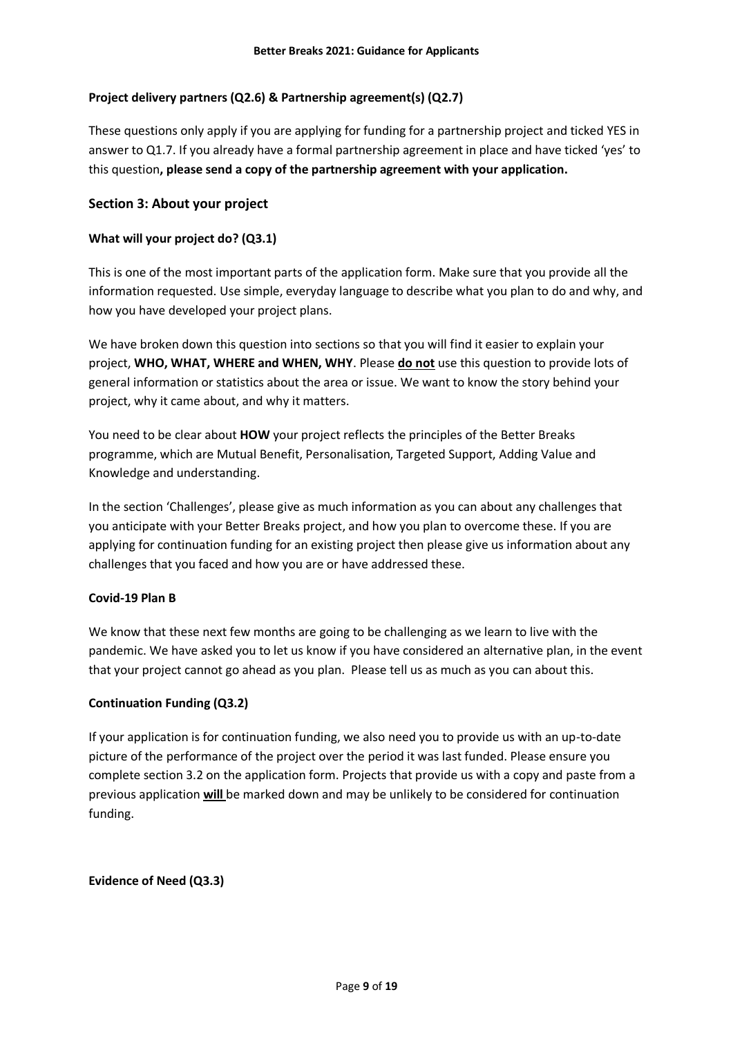# **Project delivery partners (Q2.6) & Partnership agreement(s) (Q2.7)**

These questions only apply if you are applying for funding for a partnership project and ticked YES in answer to Q1.7. If you already have a formal partnership agreement in place and have ticked 'yes' to this question**, please send a copy of the partnership agreement with your application.**

# **Section 3: About your project**

#### **What will your project do? (Q3.1)**

This is one of the most important parts of the application form. Make sure that you provide all the information requested. Use simple, everyday language to describe what you plan to do and why, and how you have developed your project plans.

We have broken down this question into sections so that you will find it easier to explain your project, **WHO, WHAT, WHERE and WHEN, WHY**. Please **do not** use this question to provide lots of general information or statistics about the area or issue. We want to know the story behind your project, why it came about, and why it matters.

You need to be clear about **HOW** your project reflects the principles of the Better Breaks programme, which are Mutual Benefit, Personalisation, Targeted Support, Adding Value and Knowledge and understanding.

In the section 'Challenges', please give as much information as you can about any challenges that you anticipate with your Better Breaks project, and how you plan to overcome these. If you are applying for continuation funding for an existing project then please give us information about any challenges that you faced and how you are or have addressed these.

#### **Covid-19 Plan B**

We know that these next few months are going to be challenging as we learn to live with the pandemic. We have asked you to let us know if you have considered an alternative plan, in the event that your project cannot go ahead as you plan. Please tell us as much as you can about this.

#### **Continuation Funding (Q3.2)**

If your application is for continuation funding, we also need you to provide us with an up-to-date picture of the performance of the project over the period it was last funded. Please ensure you complete section 3.2 on the application form. Projects that provide us with a copy and paste from a previous application **will** be marked down and may be unlikely to be considered for continuation funding.

#### **Evidence of Need (Q3.3)**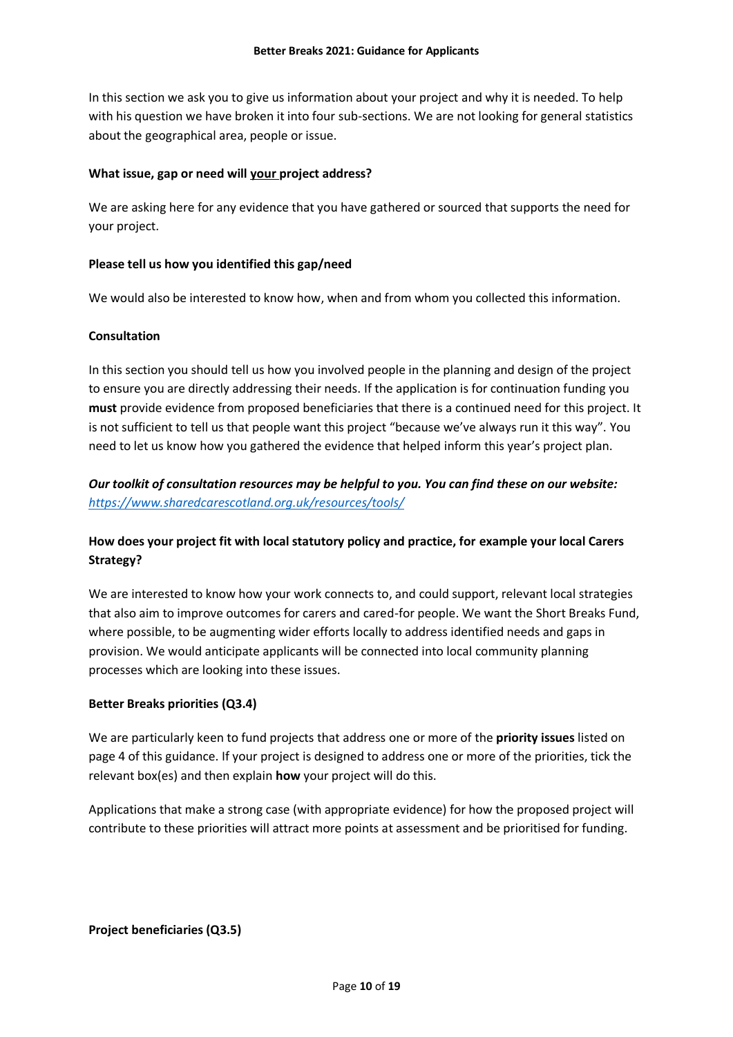In this section we ask you to give us information about your project and why it is needed. To help with his question we have broken it into four sub-sections. We are not looking for general statistics about the geographical area, people or issue.

### **What issue, gap or need will your project address?**

We are asking here for any evidence that you have gathered or sourced that supports the need for your project.

# **Please tell us how you identified this gap/need**

We would also be interested to know how, when and from whom you collected this information.

# **Consultation**

In this section you should tell us how you involved people in the planning and design of the project to ensure you are directly addressing their needs. If the application is for continuation funding you **must** provide evidence from proposed beneficiaries that there is a continued need for this project. It is not sufficient to tell us that people want this project "because we've always run it this way". You need to let us know how you gathered the evidence that helped inform this year's project plan.

# *Our toolkit of consultation resources may be helpful to you. You can find these on our website: <https://www.sharedcarescotland.org.uk/resources/tools/>*

# **How does your project fit with local statutory policy and practice, for example your local Carers Strategy?**

We are interested to know how your work connects to, and could support, relevant local strategies that also aim to improve outcomes for carers and cared-for people. We want the Short Breaks Fund, where possible, to be augmenting wider efforts locally to address identified needs and gaps in provision. We would anticipate applicants will be connected into local community planning processes which are looking into these issues.

#### **Better Breaks priorities (Q3.4)**

We are particularly keen to fund projects that address one or more of the **priority issues** listed on page 4 of this guidance. If your project is designed to address one or more of the priorities, tick the relevant box(es) and then explain **how** your project will do this.

Applications that make a strong case (with appropriate evidence) for how the proposed project will contribute to these priorities will attract more points at assessment and be prioritised for funding.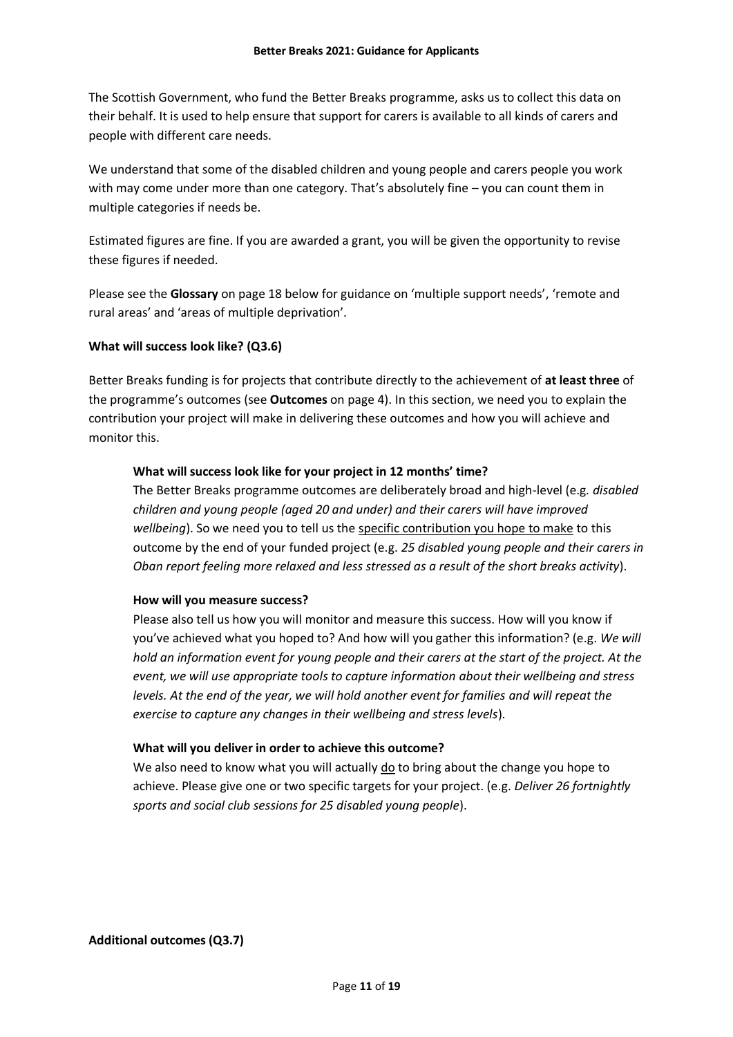The Scottish Government, who fund the Better Breaks programme, asks us to collect this data on their behalf. It is used to help ensure that support for carers is available to all kinds of carers and people with different care needs.

We understand that some of the disabled children and young people and carers people you work with may come under more than one category. That's absolutely fine – you can count them in multiple categories if needs be.

Estimated figures are fine. If you are awarded a grant, you will be given the opportunity to revise these figures if needed.

Please see the **Glossary** on page 18 below for guidance on 'multiple support needs', 'remote and rural areas' and 'areas of multiple deprivation'.

#### **What will success look like? (Q3.6)**

Better Breaks funding is for projects that contribute directly to the achievement of **at least three** of the programme's outcomes (see **Outcomes** on page 4). In this section, we need you to explain the contribution your project will make in delivering these outcomes and how you will achieve and monitor this.

#### **What will success look like for your project in 12 months' time?**

The Better Breaks programme outcomes are deliberately broad and high-level (e.g*. disabled children and young people (aged 20 and under) and their carers will have improved wellbeing*). So we need you to tell us the specific contribution you hope to make to this outcome by the end of your funded project (e.g. *25 disabled young people and their carers in Oban report feeling more relaxed and less stressed as a result of the short breaks activity*).

#### **How will you measure success?**

Please also tell us how you will monitor and measure this success. How will you know if you've achieved what you hoped to? And how will you gather this information? (e.g. *We will hold an information event for young people and their carers at the start of the project. At the event, we will use appropriate tools to capture information about their wellbeing and stress levels. At the end of the year, we will hold another event for families and will repeat the exercise to capture any changes in their wellbeing and stress levels*).

#### **What will you deliver in order to achieve this outcome?**

We also need to know what you will actually do to bring about the change you hope to achieve. Please give one or two specific targets for your project. (e.g. *Deliver 26 fortnightly sports and social club sessions for 25 disabled young people*).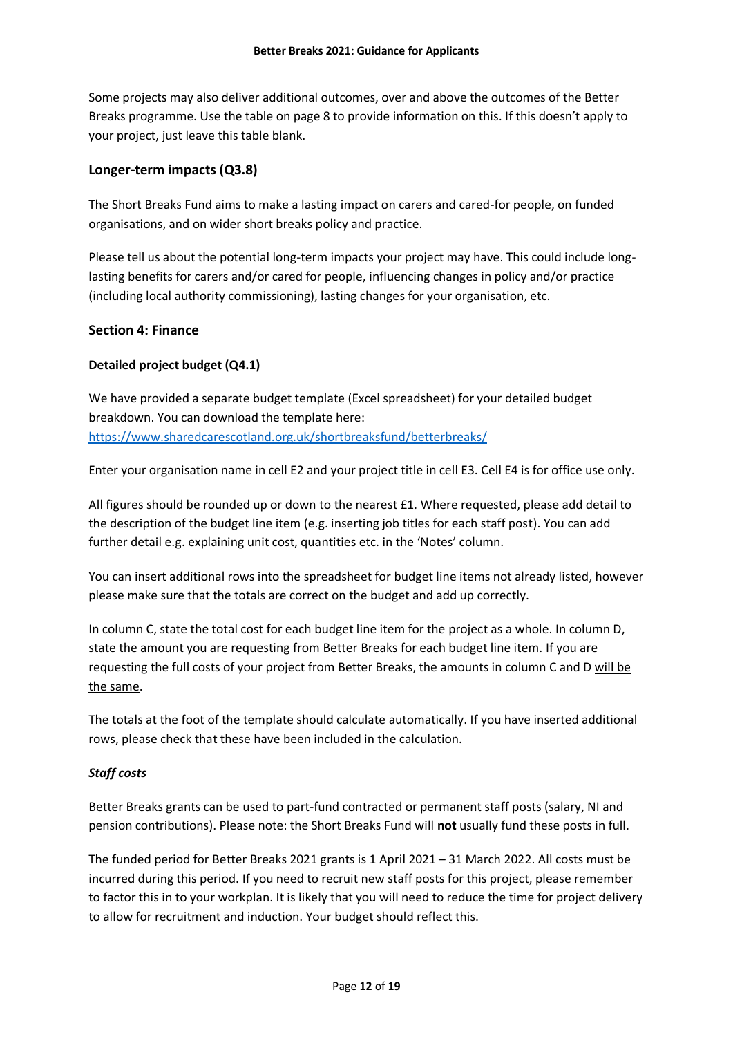Some projects may also deliver additional outcomes, over and above the outcomes of the Better Breaks programme. Use the table on page 8 to provide information on this. If this doesn't apply to your project, just leave this table blank.

# **Longer-term impacts (Q3.8)**

The Short Breaks Fund aims to make a lasting impact on carers and cared-for people, on funded organisations, and on wider short breaks policy and practice.

Please tell us about the potential long-term impacts your project may have. This could include longlasting benefits for carers and/or cared for people, influencing changes in policy and/or practice (including local authority commissioning), lasting changes for your organisation, etc.

# **Section 4: Finance**

# **Detailed project budget (Q4.1)**

We have provided a separate budget template (Excel spreadsheet) for your detailed budget breakdown. You can download the template here: <https://www.sharedcarescotland.org.uk/shortbreaksfund/betterbreaks/>

Enter your organisation name in cell E2 and your project title in cell E3. Cell E4 is for office use only.

All figures should be rounded up or down to the nearest £1. Where requested, please add detail to the description of the budget line item (e.g. inserting job titles for each staff post). You can add further detail e.g. explaining unit cost, quantities etc. in the 'Notes' column.

You can insert additional rows into the spreadsheet for budget line items not already listed, however please make sure that the totals are correct on the budget and add up correctly.

In column C, state the total cost for each budget line item for the project as a whole. In column D, state the amount you are requesting from Better Breaks for each budget line item. If you are requesting the full costs of your project from Better Breaks, the amounts in column C and D will be the same.

The totals at the foot of the template should calculate automatically. If you have inserted additional rows, please check that these have been included in the calculation.

#### *Staff costs*

Better Breaks grants can be used to part-fund contracted or permanent staff posts (salary, NI and pension contributions). Please note: the Short Breaks Fund will **not** usually fund these posts in full.

The funded period for Better Breaks 2021 grants is 1 April 2021 – 31 March 2022. All costs must be incurred during this period. If you need to recruit new staff posts for this project, please remember to factor this in to your workplan. It is likely that you will need to reduce the time for project delivery to allow for recruitment and induction. Your budget should reflect this.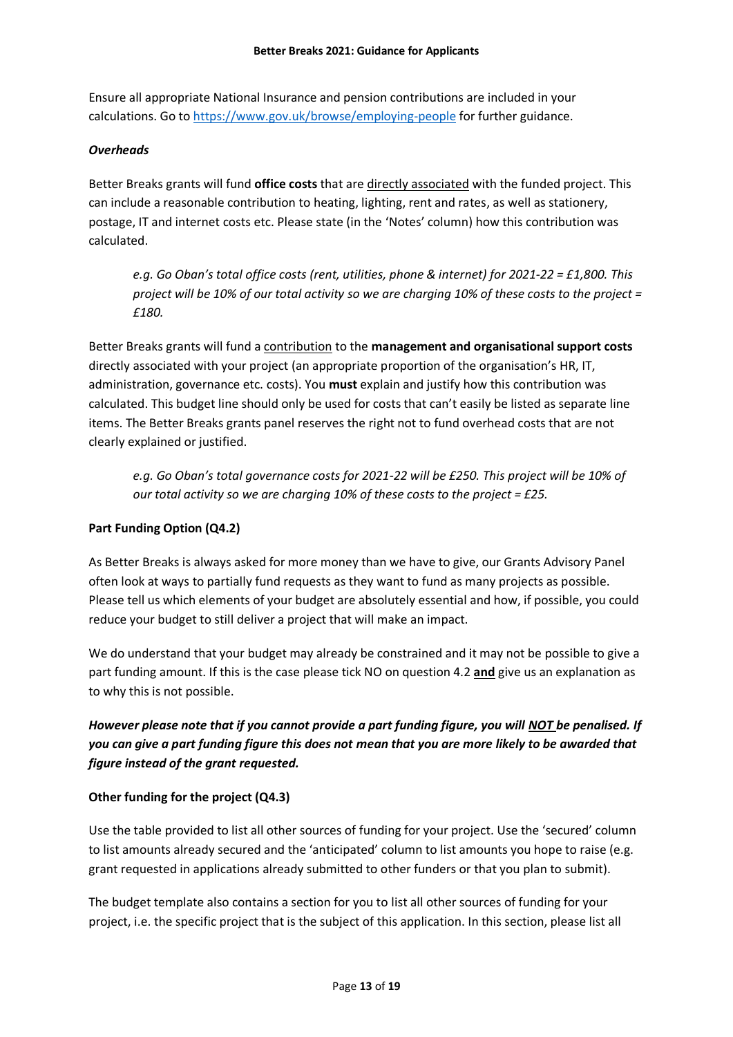Ensure all appropriate National Insurance and pension contributions are included in your calculations. Go to<https://www.gov.uk/browse/employing-people> for further guidance.

# *Overheads*

Better Breaks grants will fund **office costs** that are directly associated with the funded project. This can include a reasonable contribution to heating, lighting, rent and rates, as well as stationery, postage, IT and internet costs etc. Please state (in the 'Notes' column) how this contribution was calculated.

*e.g. Go Oban's total office costs (rent, utilities, phone & internet) for 2021-22 = £1,800. This project will be 10% of our total activity so we are charging 10% of these costs to the project = £180.*

Better Breaks grants will fund a contribution to the **management and organisational support costs** directly associated with your project (an appropriate proportion of the organisation's HR, IT, administration, governance etc. costs). You **must** explain and justify how this contribution was calculated. This budget line should only be used for costs that can't easily be listed as separate line items. The Better Breaks grants panel reserves the right not to fund overhead costs that are not clearly explained or justified.

*e.g. Go Oban's total governance costs for 2021-22 will be £250. This project will be 10% of our total activity so we are charging 10% of these costs to the project = £25.* 

# **Part Funding Option (Q4.2)**

As Better Breaks is always asked for more money than we have to give, our Grants Advisory Panel often look at ways to partially fund requests as they want to fund as many projects as possible. Please tell us which elements of your budget are absolutely essential and how, if possible, you could reduce your budget to still deliver a project that will make an impact.

We do understand that your budget may already be constrained and it may not be possible to give a part funding amount. If this is the case please tick NO on question 4.2 **and** give us an explanation as to why this is not possible.

*However please note that if you cannot provide a part funding figure, you will NOT be penalised. If you can give a part funding figure this does not mean that you are more likely to be awarded that figure instead of the grant requested.* 

# **Other funding for the project (Q4.3)**

Use the table provided to list all other sources of funding for your project. Use the 'secured' column to list amounts already secured and the 'anticipated' column to list amounts you hope to raise (e.g. grant requested in applications already submitted to other funders or that you plan to submit).

The budget template also contains a section for you to list all other sources of funding for your project, i.e. the specific project that is the subject of this application. In this section, please list all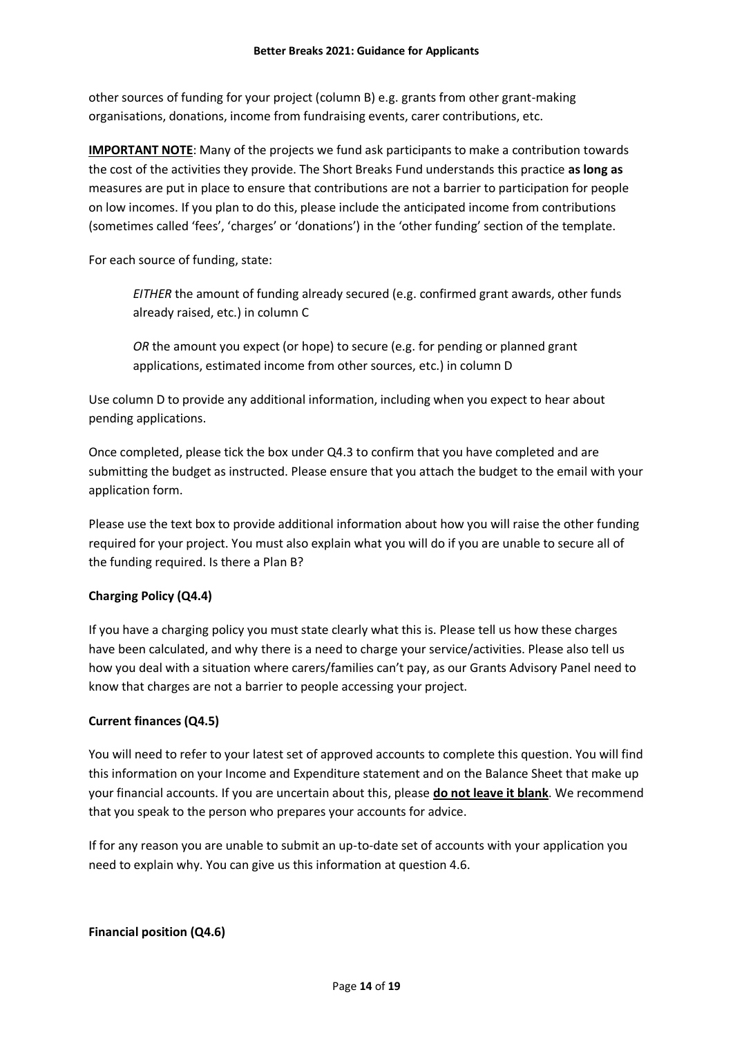other sources of funding for your project (column B) e.g. grants from other grant-making organisations, donations, income from fundraising events, carer contributions, etc.

**IMPORTANT NOTE**: Many of the projects we fund ask participants to make a contribution towards the cost of the activities they provide. The Short Breaks Fund understands this practice **as long as** measures are put in place to ensure that contributions are not a barrier to participation for people on low incomes. If you plan to do this, please include the anticipated income from contributions (sometimes called 'fees', 'charges' or 'donations') in the 'other funding' section of the template.

For each source of funding, state:

*EITHER* the amount of funding already secured (e.g. confirmed grant awards, other funds already raised, etc.) in column C

*OR* the amount you expect (or hope) to secure (e.g. for pending or planned grant applications, estimated income from other sources, etc.) in column D

Use column D to provide any additional information, including when you expect to hear about pending applications.

Once completed, please tick the box under Q4.3 to confirm that you have completed and are submitting the budget as instructed. Please ensure that you attach the budget to the email with your application form.

Please use the text box to provide additional information about how you will raise the other funding required for your project. You must also explain what you will do if you are unable to secure all of the funding required. Is there a Plan B?

# **Charging Policy (Q4.4)**

If you have a charging policy you must state clearly what this is. Please tell us how these charges have been calculated, and why there is a need to charge your service/activities. Please also tell us how you deal with a situation where carers/families can't pay, as our Grants Advisory Panel need to know that charges are not a barrier to people accessing your project.

#### **Current finances (Q4.5)**

You will need to refer to your latest set of approved accounts to complete this question. You will find this information on your Income and Expenditure statement and on the Balance Sheet that make up your financial accounts. If you are uncertain about this, please **do not leave it blank**. We recommend that you speak to the person who prepares your accounts for advice.

If for any reason you are unable to submit an up-to-date set of accounts with your application you need to explain why. You can give us this information at question 4.6.

#### **Financial position (Q4.6)**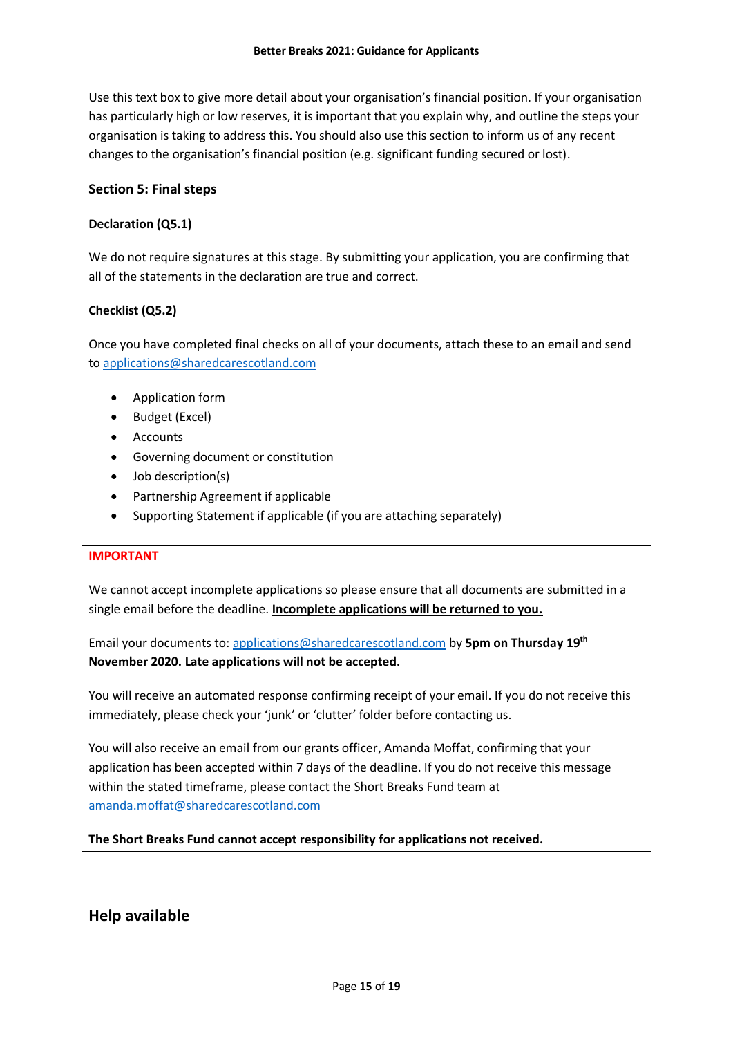Use this text box to give more detail about your organisation's financial position. If your organisation has particularly high or low reserves, it is important that you explain why, and outline the steps your organisation is taking to address this. You should also use this section to inform us of any recent changes to the organisation's financial position (e.g. significant funding secured or lost).

### **Section 5: Final steps**

#### **Declaration (Q5.1)**

We do not require signatures at this stage. By submitting your application, you are confirming that all of the statements in the declaration are true and correct.

# **Checklist (Q5.2)**

Once you have completed final checks on all of your documents, attach these to an email and send to [applications@sharedcarescotland.com](mailto:applications@sharedcarescotland.com) 

- Application form
- Budget (Excel)
- Accounts
- Governing document or constitution
- Job description(s)
- Partnership Agreement if applicable
- Supporting Statement if applicable (if you are attaching separately)

#### **IMPORTANT**

We cannot accept incomplete applications so please ensure that all documents are submitted in a single email before the deadline. **Incomplete applications will be returned to you.**

Email your documents to: [applications@sharedcarescotland.com](mailto:applications@sharedcarescotland.com) by **5pm on Thursday 19th November 2020. Late applications will not be accepted.**

You will receive an automated response confirming receipt of your email. If you do not receive this immediately, please check your 'junk' or 'clutter' folder before contacting us.

You will also receive an email from our grants officer, Amanda Moffat, confirming that your application has been accepted within 7 days of the deadline. If you do not receive this message within the stated timeframe, please contact the Short Breaks Fund team at [amanda.moffat@sharedcarescotland.com](mailto:amanda.moffat@sharedcarescotland.com)

**The Short Breaks Fund cannot accept responsibility for applications not received.**

# **Help available**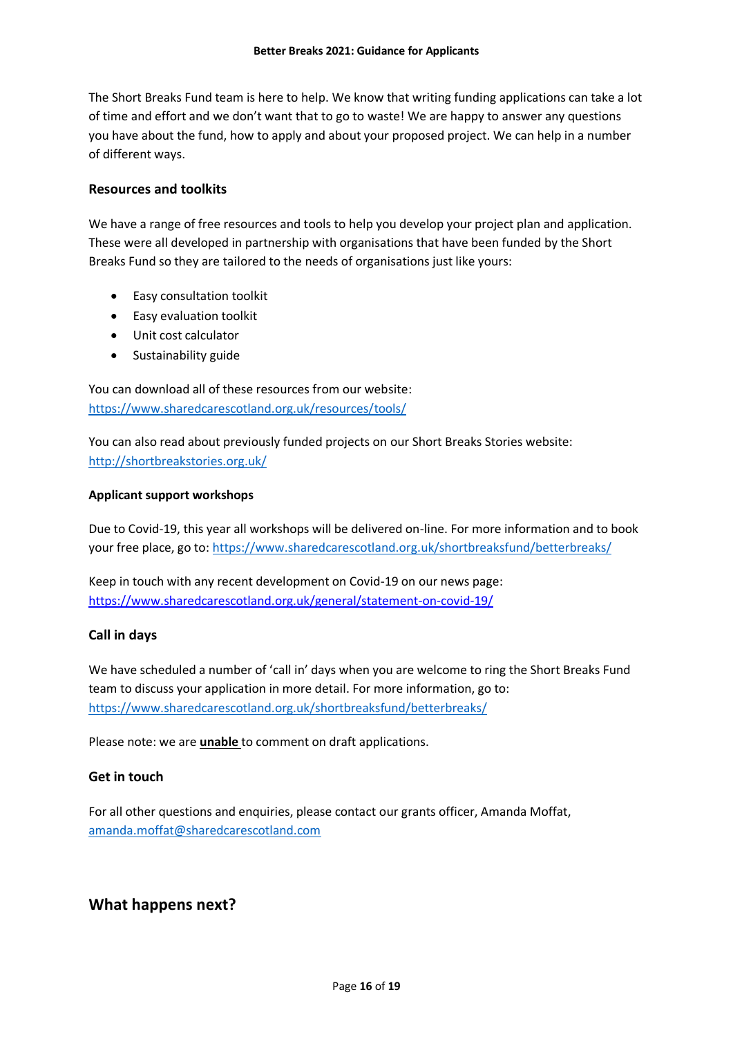The Short Breaks Fund team is here to help. We know that writing funding applications can take a lot of time and effort and we don't want that to go to waste! We are happy to answer any questions you have about the fund, how to apply and about your proposed project. We can help in a number of different ways.

### **Resources and toolkits**

We have a range of free resources and tools to help you develop your project plan and application. These were all developed in partnership with organisations that have been funded by the Short Breaks Fund so they are tailored to the needs of organisations just like yours:

- Easy consultation toolkit
- **•** Easy evaluation toolkit
- Unit cost calculator
- Sustainability guide

You can download all of these resources from our website: <https://www.sharedcarescotland.org.uk/resources/tools/>

You can also read about previously funded projects on our Short Breaks Stories website: <http://shortbreakstories.org.uk/>

# **Applicant support workshops**

Due to Covid-19, this year all workshops will be delivered on-line. For more information and to book your free place, go to:<https://www.sharedcarescotland.org.uk/shortbreaksfund/betterbreaks/>

Keep in touch with any recent development on Covid-19 on our news page: <https://www.sharedcarescotland.org.uk/general/statement-on-covid-19/>

# **Call in days**

We have scheduled a number of 'call in' days when you are welcome to ring the Short Breaks Fund team to discuss your application in more detail. For more information, go to: <https://www.sharedcarescotland.org.uk/shortbreaksfund/betterbreaks/>

Please note: we are **unable** to comment on draft applications.

# **Get in touch**

For all other questions and enquiries, please contact our grants officer, Amanda Moffat, [amanda.moffat@sharedcarescotland.com](mailto:amanda.moffat@sharedcarescotland.com) 

# **What happens next?**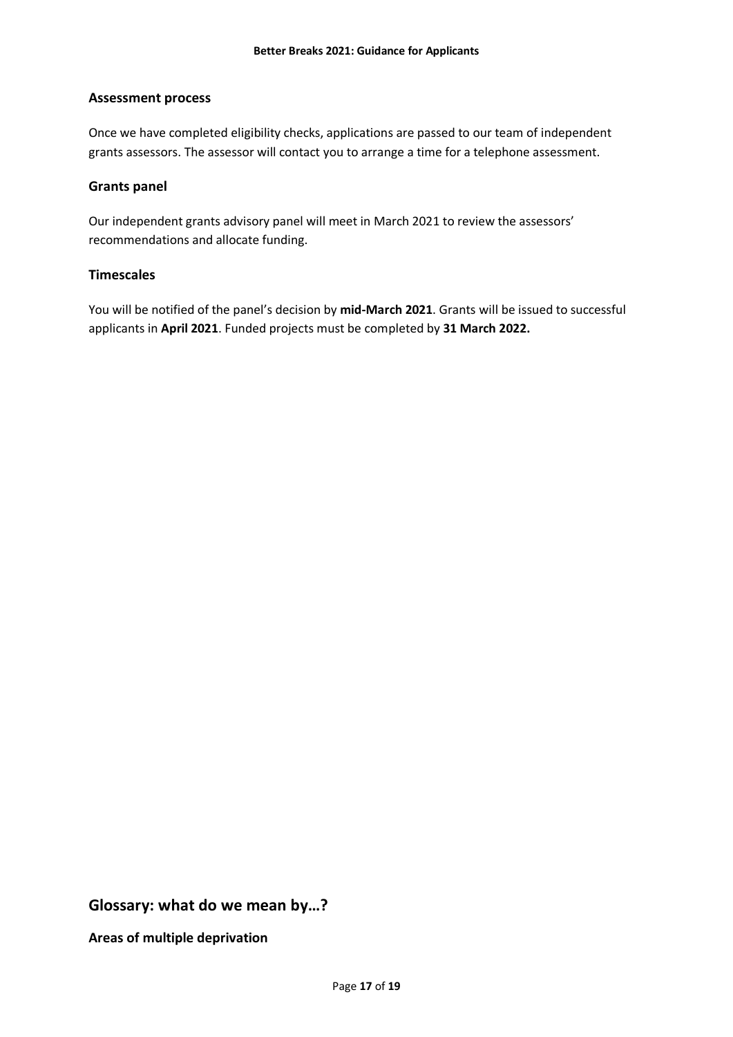# **Assessment process**

Once we have completed eligibility checks, applications are passed to our team of independent grants assessors. The assessor will contact you to arrange a time for a telephone assessment.

### **Grants panel**

Our independent grants advisory panel will meet in March 2021 to review the assessors' recommendations and allocate funding.

#### **Timescales**

You will be notified of the panel's decision by **mid-March 2021**. Grants will be issued to successful applicants in **April 2021**. Funded projects must be completed by **31 March 2022.**

**Glossary: what do we mean by…?**

**Areas of multiple deprivation**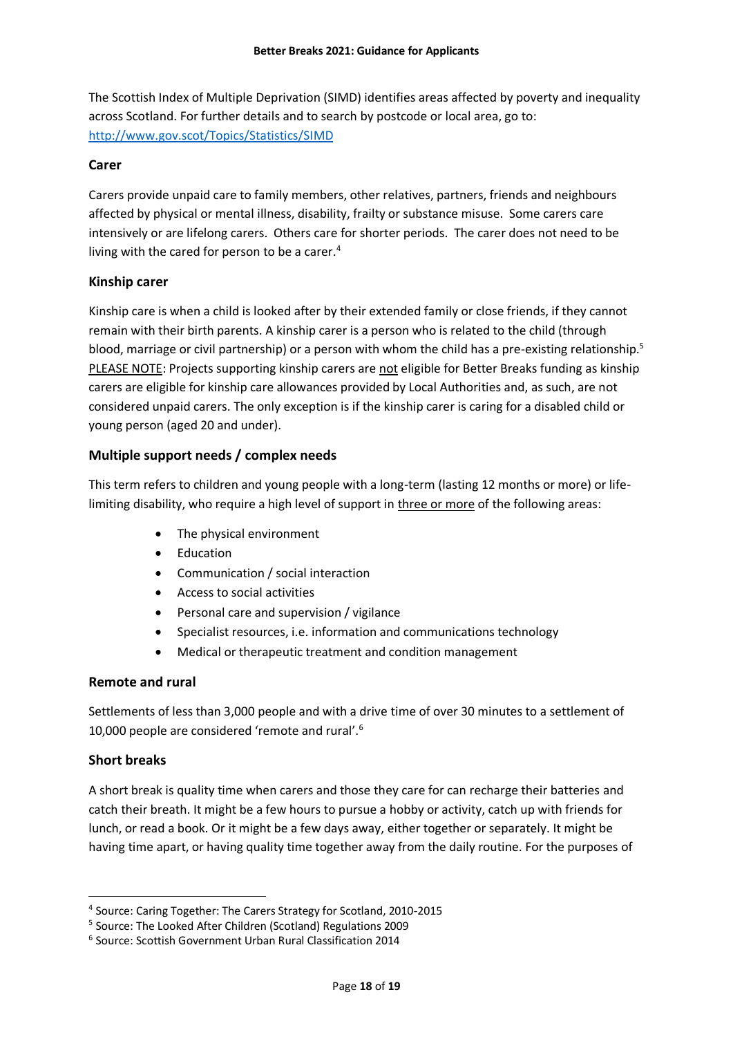The Scottish Index of Multiple Deprivation (SIMD) identifies areas affected by poverty and inequality across Scotland. For further details and to search by postcode or local area, go to: <http://www.gov.scot/Topics/Statistics/SIMD>

# **Carer**

Carers provide unpaid care to family members, other relatives, partners, friends and neighbours affected by physical or mental illness, disability, frailty or substance misuse. Some carers care intensively or are lifelong carers. Others care for shorter periods. The carer does not need to be living with the cared for person to be a carer. $4$ 

# **Kinship carer**

Kinship care is when a child is looked after by their extended family or close friends, if they cannot remain with their birth parents. A kinship carer is a person who is related to the child (through blood, marriage or civil partnership) or a person with whom the child has a pre-existing relationship.<sup>5</sup> PLEASE NOTE: Projects supporting kinship carers are not eligible for Better Breaks funding as kinship carers are eligible for kinship care allowances provided by Local Authorities and, as such, are not considered unpaid carers. The only exception is if the kinship carer is caring for a disabled child or young person (aged 20 and under).

# **Multiple support needs / complex needs**

This term refers to children and young people with a long-term (lasting 12 months or more) or lifelimiting disability, who require a high level of support in three or more of the following areas:

- The physical environment
- Education
- Communication / social interaction
- Access to social activities
- Personal care and supervision / vigilance
- Specialist resources, i.e. information and communications technology
- Medical or therapeutic treatment and condition management

#### **Remote and rural**

Settlements of less than 3,000 people and with a drive time of over 30 minutes to a settlement of 10,000 people are considered 'remote and rural'.<sup>6</sup>

#### **Short breaks**

-

A short break is quality time when carers and those they care for can recharge their batteries and catch their breath. It might be a few hours to pursue a hobby or activity, catch up with friends for lunch, or read a book. Or it might be a few days away, either together or separately. It might be having time apart, or having quality time together away from the daily routine. For the purposes of

<sup>4</sup> Source: Caring Together: The Carers Strategy for Scotland, 2010-2015

<sup>5</sup> Source: The Looked After Children (Scotland) Regulations 2009

<sup>6</sup> Source: Scottish Government Urban Rural Classification 2014